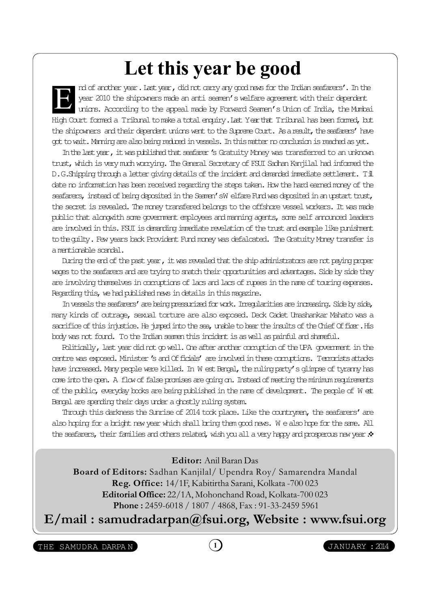## Let this year be good

nd of another year. Last year, did not carry any good news for the Indian seafarers'. In the year 2010 the shipowners made an anti seamen's welfare agreement with their dependent unions. According to the appeal made by Forward Seamen's Union of India, the Mumbai High Court formed a Tribunal to make a total enquiry. Last Year that Tribunal has been formed, but the shipowners and their dependent unions went to the Supreme Court. As a result, the seafarers' have got to wait. Manning are also being reduced in vessels. In this matter no conclusion is reached as yet. E

In the last year, it was published that seafarer's Gratuity Money was transferred to an unknown trust, which is very much worrying. The General Secretary of FSUI Sadhan Kanjilal had informed the D.G.Shipping through a letter giving details of the incident and demanded immediate settlement. Till date no information has been received regarding the steps taken. How the hard earned money of the seafarers, instead of being deposited in the Seamen's W elfare Fund was deposited in an upstart trust, the secret is revealed. The money transfered belongs to the offshore vessel workers. It was made public that alongwith some government employees and manning agents, some self announced leaders are involved in this. FSUI is demanding immediate revelation of the trust and example like punishment to the guilty. Few years back Provident Fund money was defalcated. The Gratuity Money transfer is a mentionable scandal.

During the end of the past year, it was revealed that the ship administrators are not paying proper wages to the seafarers and are trying to snatch their opportunities and advantages. Side by side they are involving themselves in comptions of lacs and lacs of rupees in the name of touring expenses. Regarding this, we had published news in details in this magazine.

In vessels the seafarers' are being pressurized for work. Irregularities are increasing. Side by side, many kinds of outrage, sexual torture are also exposed. Deck Cadet Umashankar Mahato was a sacrifice of this injustice. He jumped into the sea, unable to bear the insults of the Chief Officer. His body was not found. To the Indian seamen this incident is as well as painful and shameful.

Politically, last year did not go well. One after another corruption of the UPA government in the centre was exposed. Minister 's and Officials' are involved in these comptions. Terrorists attacks have increased. Many people were killed. In W est Bengal, the ruling party's glimpse of tyranny has come into the open. A flow of false promises are going on. Instead of meeting the minimum requirements of the public, everyday books are being published in the name of development. The people of W est Bengal are spending their days under a ghostly ruling system.

Through this darkness the Sunrise of 2014 took place. Like the countrymen, the seafarers' are also hoping for a bright new year which shall bring them good news. W e also hope for the same. All the seafarers, their families and others related, wish you all a very happy and prosperous new year. $\clubsuit$ 

Editor: Anil Baran Das

Board of Editors: Sadhan Kanjilal/ Upendra Roy/ Samarendra Mandal Reg. Office: 14/1F, Kabitirtha Sarani, Kolkata -700 023 Editorial Office: 22/1A, Mohonchand Road, Kolkata-700 023 Phone : 2459-6018 / 1807 / 4868, Fax : 91-33-2459 5961

E/mail : samudradarpan@fsui.org, Website : www.fsui.org

THE SAMUDRA DARPAN (1) (1) JANUARY : 2014

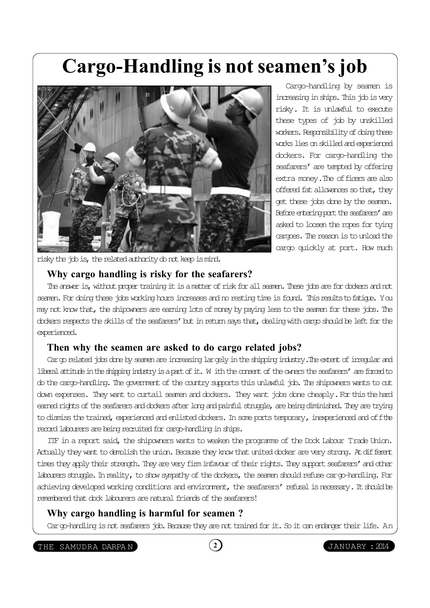## Cargo-Handling is not seamen's job



Cargo-handling by seamen is increasing in ships. This job is very risky. It is unlawful to execute these types of job by unskilled workers. Responsibility of doing these works lies on skilled and experienced dockers. For cargo-handling the seafarers' are tempted by offering extra money. The officers are also offered fat allowances so that, they get these jobs done by the seamen. Before entering port the seafarers' are asked to loosen the ropes for tying cargoes. The reason is to unload the cargo quickly at port. How much

risky the job is, the related authority ob not keep is mind.

### Why cargo handling is risky for the seafarers?

The answer is, without proper training it is a matter of risk for all seamen. These jobs are for dockers and not seamen. For doing these jobs working hours increases and no resting time is found. This results to fatigue. You may not know that, the shipowners are earning lots of money by paying less to the seamen for these jobs. The dockers respects the skills of the seafarers' but in return says that, dealing with cargo should be left for the experienced.

### Then why the seamen are asked to do cargo related jobs?

Cargo related jobs done by seamen are increasing largely in the shipping industry. The extent of irregular and liberal attitude in the shipping industry is a part of it. W ith the consent of the owners the seafarers' are forced to do the cargo-handling. The government of the country supports this unlawful job. The shipowners wants to cut down expenses. They want to curtail seamen and dockers. They want jobs done cheaply. For this the hard earned rights of the seafarers and dockers after long and painful struggle, are being diminished. They are trying to dismiss the trained, experienced and enlisted dockers. In some ports temporary, inexperienced and off the record labourers are being recruited for cargo-handling in ships.

ITF in a report said, the shipowners wants to weaken the programme of the Dock Labour Trade Union. Actually they want to demolish the union. Because they know that united docker are very strong. At different times they apply their strength. They are very firm infavour of their rights. They support seafarers' and other labourers struggle. In reality, to show sympathy of the dockers, the seamen should refuse cargo-handling. For achieving developed working conditions and environment, the seafarers' refusal is necessary. It should be remembered that dock labourers are natural friends of the seafarers!

#### Why cargo handling is harmful for seamen ?

Cargo-handling is not seafarers job. Because they are not trained for it. So it can endanger their life. An

THE SAMUDRA DARPAN (2) (2) JANUARY : 2014

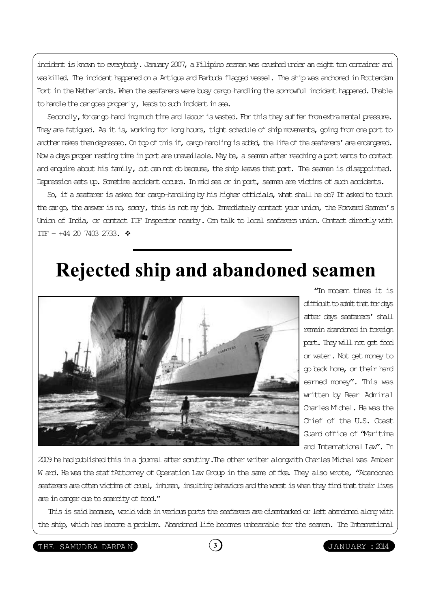incident is known to everybody. January 2007, a Filipino seaman was crushed under an eight ton container and was killed. The incident happened on a Antigua and Barbuda flagged vessel. The ship was anchored in Rotterdam Port in the Netherlands. When the seafarers were busy cargo-handling the sorrowful incident happened. Unable to handle the cargoes properly, leads to such incident in sea.

Secondly, for an op-handling much time and labour is wasted. For this they suffer from extra mental pressure. They are fatigued. As it is, working for long hours, tight schedule of ship movements, going from one port to another makes them depressed. On top of this if, cargo-handling is added, the life of the seafarers' are endangered. Now a days proper resting time in port are unavailable. May be, a seaman after reaching a port wants to contact and enquire about his family, but can not do because, the ship leaves that port. The seaman is disappointed. Depression eats up. Sometime accident occurs. In mid sea or in port, seamen are victims of such accidents.

So, if a seafarer is asked for cargo-handling by his higher officials, what shall he do? If asked to touch the cargo, the answer is no, sorry, this is not my job. Immediately contact your union, the Forward Seamen's Union of India, or contact ITF Inspector nearby. Can talk to local seafarers union. Contact directly with IIF  $- +44$  20 7403 2733.  $\div$ 

### Rejected ship and abandoned seamen



"In modern times it is difficult to admit that for days after days seafarers' shall remain abandoned in foreign port. They will not get food or water. Not get money to go back home, or their hard earned money". This was written by Rear Admiral Charles Michel. He was the Chief of the U.S. Coast Guard office of "Maritime and International Law". In

2009 he had published this in a journal after scrutiny. The other writer alongwith Charles Michel was Amber W ard. He was the staf fAttorney of Operation Law Group in the same of fice. They also wrote, "Abandoned seafarers are often victims of cruel, inhuman, insulting behaviors and the worst is when they find that their lives are in danger due to scarcity of food."

This is said because, world wide in various ports the seafarers are disembarked or left abandoned along with the ship, which has become a problem. Abandoned life becomes unbearable for the seamen. The International

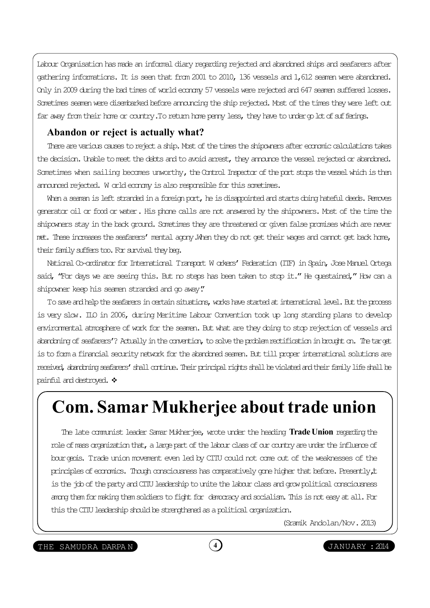Labour Organisation has made an informal diary regarding rejected and abandoned ships and seafarers after gathering informations. It is seen that from 2001 to 2010, 136 vessels and 1,612 seamen were abandoned. Only in 2009 during the bad times of world economy 57 vessels were rejected and 647 seamen suffered losses. Sometimes seamen were disembarked before announcing the ship rejected. Most of the times they were left out far away from their home or country. To return home penny less, they have to under op lot of sufferings.

### Abandon or reject is actually what?

There are various causes to reject a ship. Most of the times the shipowners after economic calculations takes the decision. Unable to meet the debts and to avoid arrest, they announce the vessel rejected or abandoned. Sometimes when sailing becomes unworthy, the Control Inspector of the port stops the vessel which is then announced rejected. W orld economy is also responsible for this sometimes.

When a seaman is left stranded in a foreign port, he is disappointed and starts doing hateful deeds. Removes generator oil or food or water. His phone calls are not answered by the shipowners. Most of the time the shipowners stay in the back ground. Sometimes they are threatened or given false promises which are never met. These increases the seafarers' mental agony. When they do not get their wages and cannot get back home, their family suffers too. For survival they beg.

National Co-ordinator for International Transport W orkers' Federation (ITF) in Spain, Jose Manuel Ortega said, "For days we are seeing this. But no steps has been taken to stop it." He questained," How can a shipowner keep his seamen stranded and go away."

To save and help the seafarers in certain situations, works have started at international level. But the process is very slow. ILO in 2006, during Meritime Labour Convention took up long standing plans to develop environmental atmosphere of work for the seamen. But what are they doing to stop rejection of vessels and abandoning of seafarers'? Actually in the convention, to solve the problem rectification in brought on. The target is to form a financial security network for the abandoned seamen. But till proper international solutions are received, abandoning seafarers' shall continue. Their principal rights shall be violated and their family life shall be painful and destroyed.  $\div$ 

### Com. Samar Mukherjee about trade union

The late communist leader Samar Mukherjee, wrote under the heading Trade Union regarding the role of mass organization that, a large part of the labour class of our country are under the influence of bourgeois. Trade union movement even led by CITU could not come out of the weaknesses of the principles of economics. Though consciousness has comparatively gone higher that before. Presently, it is the job of the party and CITU leadership to unite the labour class and grow political consciousness among them for making them soldiers to fight for democracy and socialism. This is not easy at all. For this the CITU leadership should be strengthened as a political organization.

(Sramik Andolan/Nov. 2013)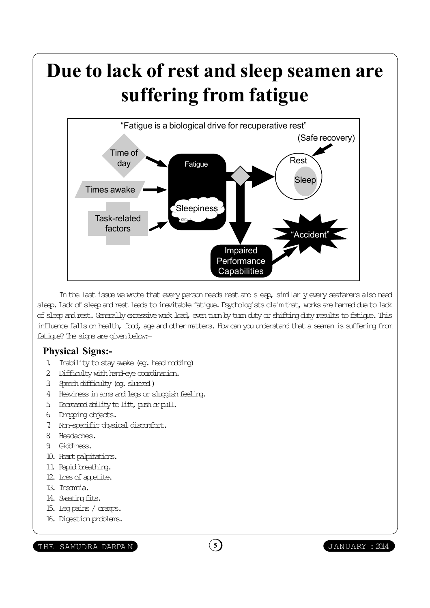# Due to lack of rest and sleep seamen are suffering from fatigue



In the last issue we wrote that every person needs rest and sleep, similarly every seafarers also need sleep. Lack of sleep and rest leads to inevitable fatigue. Psychologists claim that, works are harmed due to lack of sleep and rest. Generally excessive work load, even turn by turn duty or shifting duty results to fatigue. This influence falls on health, food, age and other matters. How can you understand that a seaman is suffering from fatigue? The signs are given below:-

### Physical Signs:-

- 1. Inability to stay awake (eg. head nodding)
- 2. Difficulty with hand-eye coordination.
- 3. Speech difficulty (eg. slurred )
- 4. Heaviness in arms and legs or sluggish feeling.
- 5. Decreased ability to lift, push or pull.
- 6. Dropping objects.
- 7. Non-specific physical discomfort.
- 8. Headaches.
- 9. Giddiness.
- 10. Heart palpitations.
- 11. Rapid breathing.
- 12. Loss of appetite.
- 13. Insomia.
- 14. Sweating fits.
- 15. Leg pains / cramps.
- 16. Digestion problems.

```
THE SAMUDRA DARPAN (5) (5) JANUARY : 2014
```
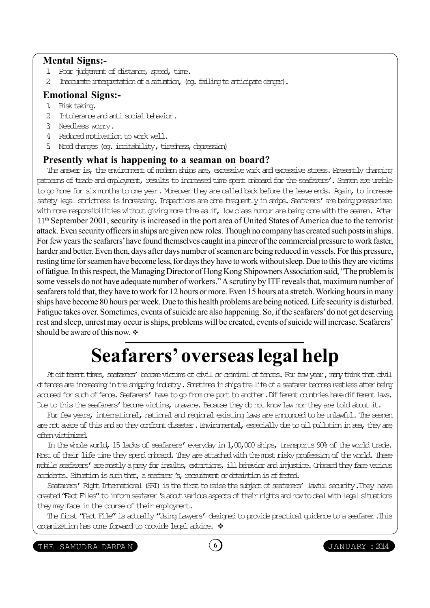#### Mental Signs:-

- 1. Poor judgement of distance, speed, time.
- 2. Inaccurate interpretation of a situation, (eq. failing to articipate danger).

### Emotional Signs:-

- 1. Risk taking.
- 2. Intolerance and anti social behavior.
- 3. Needless worry.
- 4. Reduced motivation to work well.
- 5. Mood changes (eg. irritability, tiredness, depression)

#### Presently what is happening to a seaman on board?

The answer is, the environment of modern ships are, excessive work and excessive stress. Presently changing patterns of trade and employment, results to increased time spent onboard for the seafarers'. Seamen are unable to go home for six months to one year. Moreover they are called back before the leave ends. Again, to increase safety legal strictness is increasing. Inspections are done frequently in ships. Seafarers' are being pressurized with more responsibilities without giving more time as if, low class humour are being done with the seamen. After 11th September 2001, security is increased in the port area of United States of America due to the terrorist attack. Even security officers in ships are given new roles. Though no company has created such posts in ships. For few years the seafarers' have found themselves caught in a pincer of the commercial pressure to work faster, harder and better. Even then, days after days number of seamen are being reduced in vessels. For this pressure, resting time for seamen have become less, for days they have to work without sleep. Due to this they are victims of fatigue. In this respect, the Managing Director of Hong Kong Shipowners Association said, "The problem is some vessels do not have adequate number of workers." A scrutiny by ITF reveals that, maximum number of seafarers told that, they have to work for 12 hours or more. Even 15 hours at a stretch. Working hours in many ships have become 80 hours per week. Due to this health problems are being noticed. Life security is disturbed. Fatigue takes over. Sometimes, events of suicide are also happening. So, if the seafarers' do not get deserving rest and sleep, unrest may occur is ships, problems will be created, events of suicide will increase. Seafarers' should be aware of this now.  $\div$ 

# Seafarers' overseas legal help

At different times, seafarers' become victims of civil or criminal of fences. For few year, many think that civil offences are increasing in the shipping industry. Sometimes in ships the life of a seafarer becomes restless after being accused for such of fence. Seafarers' have to op from one port to another. Different countries have different laws. Due to this the seafarers' become victims, unavare. Because they do not know law nor they are told about it.

For few years, international, national and regional existing laws are announced to be unlawful. The seamen are not avare of this and so they confront disaster. Environmental, especially due to oil pollution in sea, they are often victimized.

In the whole world, 15 lacks of seafarers' everyday in 1,00,000 ships, transports 90% of the world trade. Most of their life time they spend onboard. They are attached with the most risky profession of the world. These mobile seafarers' are mostly a prey for insults, extortions, ill behavior and injustice. Onboard they face various accidents. Situation is such that, a seafarer's, recruitment or detaintion is affected.

Seafarers' Right International (SRI) is the first to raise the subject of seafarers' lawful security. They have created "Fact Files" to inform seafarer's about various aspects of their rights and how to deal with legal situations they may face in the course of their employment.

The first "Fact File" is actually "Using Lawyers' designed to provide practical guidance to a seafarer. This organization has come forward to provide legal advice.  $\cdot$ 

THE SAMUDRA DARPAN (6) (6) JANUARY : 2014



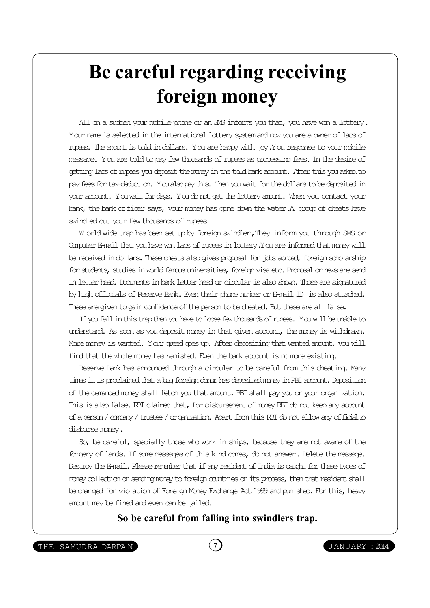# Be careful regarding receiving foreign money

All on a sudden your mobile phone or an SMS informs you that, you have won a lottery. Your name is selected in the international lottery system and now you are a owner of lacs of rupees. The amount is told in dollars. You are happy with joy. You response to your mobile message. You are told to pay few thousands of rupees as processing fees. In the desire of getting lacs of rupees you deposit the money in the told bank account. After this you asked to pay fees for tax-deduction. You also pay this. Then you wait for the dollars to be deposited in your account. You wait for days. You do not get the lottery amount. When you contact your bank, the bank of ficer says, your money has gone down the water. A group of cheats have swindled out your few thousands of rupees

W orld wide trap has been set up by foreign swindler, They inform you through SMS or Computer E-mail that you have won lacs of rupees in lottery. You are informed that money will be received in dollars. These cheats also gives proposal for jobs abroad, foreign scholarship for students, studies in world famous universities, foreign visa etc. Proposal or news are send in letter head. Documents in bank letter head or circular is also shown. Those are signatured by high officials of Reserve Bank. Even their phone number or E-mail ID is also attached. These are given to gain confidence of the person to be dheated. But these are all false.

If you fall in this trap then you have to loose few thousands of rupees. You will be unable to understand. As soon as you deposit money in that given account, the money is withdrawn. More money is wanted. Your greed goes up. After depositing that wanted amount, you will find that the whole money has vanished. Even the bank account is no more existing.

Reserve Bank has announced through a circular to be careful from this cheating. Many times it is proclaimed that a big foreign donor has deposited money in RBI account. Deposition of the demanded money shall fetch you that amount. RBI shall pay you or your organization. This is also false. RBI claimed that, for disbursement of money RBI do not keep any account of a person / company / trustee / organization. Apart from this RBI do not allow any official to disburse money.

So, be careful, specially those who work in ships, because they are not aware of the forgery of lands. If some messages of this kind comes, do not answer. Delete the message. Destroy the E-mail. Please remember that if any resident of India is caught for these types of money collection or sending money to foreign countries or its process, then that resident shall be charged for violation of Foreign Money Exchange Act 1999 and punished. For this, heavy amount may be fined and even can be jailed.

So be careful from falling into swindlers trap.